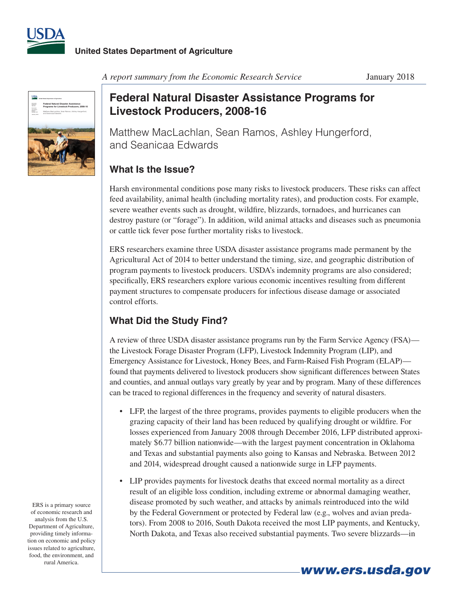



*A report summary from the Economic Research Service* January 2018

## **Federal Natural Disaster Assistance Programs for Livestock Producers, 2008-16**

Matthew MacLachlan, Sean Ramos, Ashley Hungerford, and Seanicaa Edwards

## **What Is the Issue?**

Harsh environmental conditions pose many risks to livestock producers. These risks can affect feed availability, animal health (including mortality rates), and production costs. For example, severe weather events such as drought, wildfire, blizzards, tornadoes, and hurricanes can destroy pasture (or "forage"). In addition, wild animal attacks and diseases such as pneumonia or cattle tick fever pose further mortality risks to livestock.

ERS researchers examine three USDA disaster assistance programs made permanent by the Agricultural Act of 2014 to better understand the timing, size, and geographic distribution of program payments to livestock producers. USDA's indemnity programs are also considered; specifically, ERS researchers explore various economic incentives resulting from different payment structures to compensate producers for infectious disease damage or associated control efforts.

## **What Did the Study Find?**

A review of three USDA disaster assistance programs run by the Farm Service Agency (FSA) the Livestock Forage Disaster Program (LFP), Livestock Indemnity Program (LIP), and Emergency Assistance for Livestock, Honey Bees, and Farm-Raised Fish Program (ELAP) found that payments delivered to livestock producers show significant differences between States and counties, and annual outlays vary greatly by year and by program. Many of these differences can be traced to regional differences in the frequency and severity of natural disasters.

- • LFP, the largest of the three programs, provides payments to eligible producers when the grazing capacity of their land has been reduced by qualifying drought or wildfire. For losses experienced from January 2008 through December 2016, LFP distributed approximately \$6.77 billion nationwide—with the largest payment concentration in Oklahoma and Texas and substantial payments also going to Kansas and Nebraska. Between 2012 and 2014, widespread drought caused a nationwide surge in LFP payments.
- • LIP provides payments for livestock deaths that exceed normal mortality as a direct result of an eligible loss condition, including extreme or abnormal damaging weather, disease promoted by such weather, and attacks by animals reintroduced into the wild by the Federal Government or protected by Federal law (e.g., wolves and avian predators). From 2008 to 2016, South Dakota received the most LIP payments, and Kentucky, North Dakota, and Texas also received substantial payments. Two severe blizzards—in

*www.ers.usda.gov*

ERS is a primary source of economic research and analysis from the U.S. Department of Agriculture, providing timely information on economic and policy issues related to agriculture, food, the environment, and rural America.